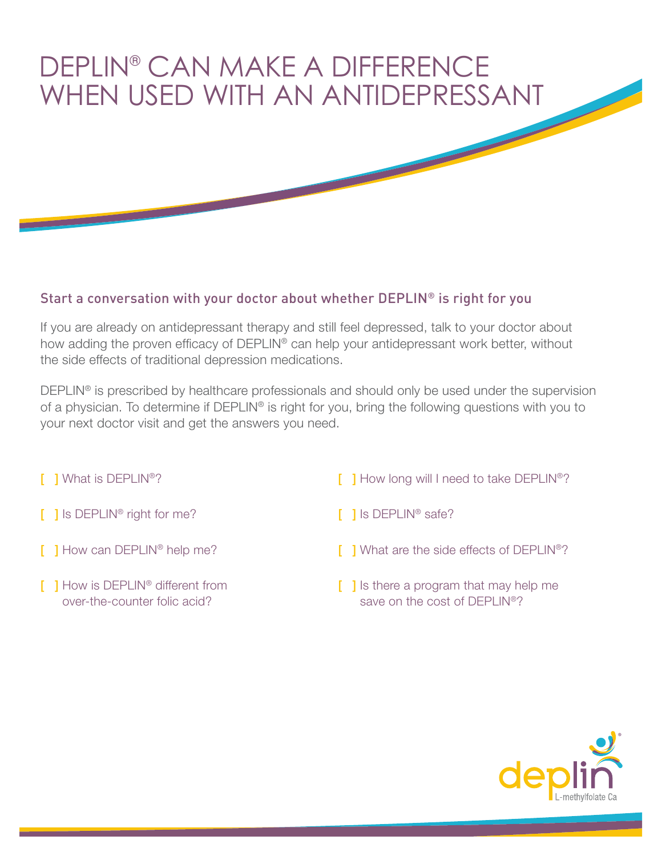## DEPLIN® CAN MAKE A DIFFERENCE WHEN USED WITH AN ANTIDEPRESSANT

## Start a conversation with your doctor about whether DEPLIN® is right for you

If you are already on antidepressant therapy and still feel depressed, talk to your doctor about how adding the proven efficacy of DEPLIN® can help your antidepressant work better, without the side effects of traditional depression medications.

DEPLIN<sup>®</sup> is prescribed by healthcare professionals and should only be used under the supervision of a physician. To determine if DEPLIN® is right for you, bring the following questions with you to your next doctor visit and get the answers you need.

- [ ] What is DEPLIN<sup>®</sup>?
- [ ] Is DEPLIN<sup>®</sup> right for me?
- **[ ] How can DEPLIN® help me?**
- **[ ] How is DEPLIN<sup>®</sup> different from** over-the-counter folic acid?
- **[ ] How long will I need to take DEPLIN®?**
- [ ] Is DEPLIN<sup>®</sup> safe?
- **[ ] What are the side effects of DEPLIN®?**
- [ ] Is there a program that may help me save on the cost of DEPLIN®?